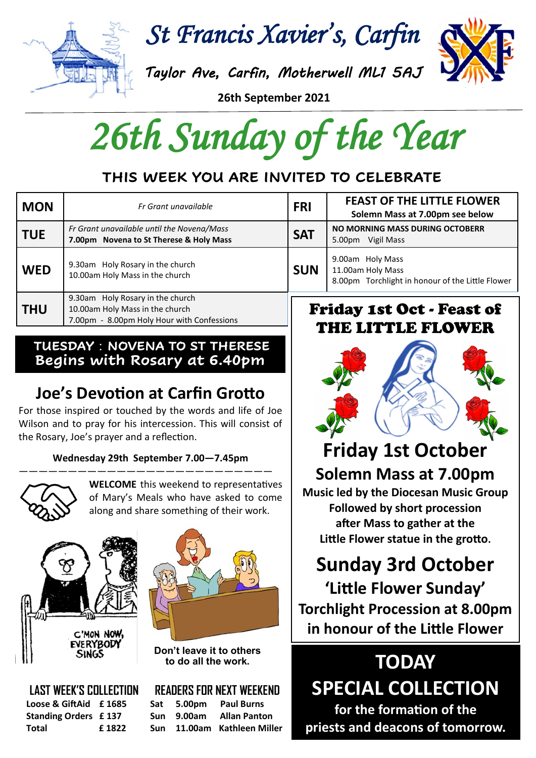

*St Francis Xavier's, Carfin* 

*Taylor Ave, Carfin, Motherwell ML1 5AJ* 

**26th September 2021**

*26th Sunday of the Year* 

### **THIS WEEK YOU ARE INVITED TO CELEBRATE**

| <b>MON</b> | Fr Grant unavailable                                                                                              | <b>FRI</b>                            | <b>FEAST OF THE LITTLE FLOWER</b><br>Solemn Mass at 7.00pm see below                      |
|------------|-------------------------------------------------------------------------------------------------------------------|---------------------------------------|-------------------------------------------------------------------------------------------|
| <b>TUE</b> | Fr Grant unavailable until the Novena/Mass<br>7.00pm Novena to St Therese & Holy Mass                             | <b>SAT</b>                            | NO MORNING MASS DURING OCTOBERR<br>5.00pm Vigil Mass                                      |
| <b>WED</b> | 9.30am Holy Rosary in the church<br>10.00am Holy Mass in the church                                               | <b>SUN</b>                            | 9.00am Holy Mass<br>11.00am Holy Mass<br>8.00pm Torchlight in honour of the Little Flower |
| <b>THU</b> | 9.30am Holy Rosary in the church<br>10.00am Holy Mass in the church<br>7.00pm - 8.00pm Holy Hour with Confessions | <b>Friday 1st Oct - Feast of</b><br>. |                                                                                           |

#### **TUESDAY** : **NOVENA TO ST THERESE Begins with Rosary at 6.40pm**

## **Joe's Devotion at Carfin Grotto**

For those inspired or touched by the words and life of Joe Wilson and to pray for his intercession. This will consist of the Rosary, Joe's prayer and a reflection.

#### **Wednesday 29th September 7.00—7.45pm**



**WELCOME** this weekend to representatives of Mary's Meals who have asked to come along and share something of their work.





**Don't leave it to others to do all the work.**

**LAST WEEK'S COLLECTION Loose & GiftAid £ 1685 Standing Orders £ 137 Total £ 1822**

#### **READERS FOR NEXT WEEKEND**

**Sat 5.00pm Paul Burns Sun 9.00am Allan Panton Sun 11.00am Kathleen Miller**

# THE LITTLE FLOWER



# **Friday 1st October**

**Solemn Mass at 7.00pm Music led by the Diocesan Music Group Followed by short procession after Mass to gather at the Little Flower statue in the grotto.**

# **Sunday 3rd October**

**'Little Flower Sunday' Torchlight Procession at 8.00pm in honour of the Little Flower**

**TODAY SPECIAL COLLECTION for the formation of the priests and deacons of tomorrow.**